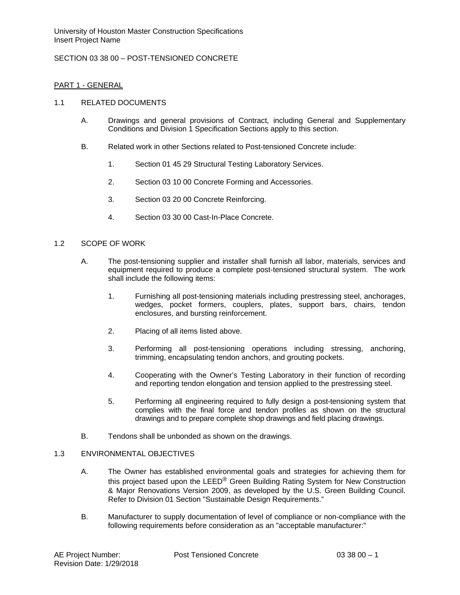# SECTION 03 38 00 – POST-TENSIONED CONCRETE

#### PART 1 - GENERAL

#### 1.1 RELATED DOCUMENTS

- A. Drawings and general provisions of Contract, including General and Supplementary Conditions and Division 1 Specification Sections apply to this section.
- B. Related work in other Sections related to Post-tensioned Concrete include:
	- 1. Section 01 45 29 Structural Testing Laboratory Services.
	- 2. Section 03 10 00 Concrete Forming and Accessories.
	- 3. Section 03 20 00 Concrete Reinforcing.
	- 4. Section 03 30 00 Cast-In-Place Concrete.

#### 1.2 SCOPE OF WORK

- A. The post-tensioning supplier and installer shall furnish all labor, materials, services and equipment required to produce a complete post-tensioned structural system. The work shall include the following items:
	- 1. Furnishing all post-tensioning materials including prestressing steel, anchorages, wedges, pocket formers, couplers, plates, support bars, chairs, tendon enclosures, and bursting reinforcement.
	- 2. Placing of all items listed above.
	- 3. Performing all post-tensioning operations including stressing, anchoring, trimming, encapsulating tendon anchors, and grouting pockets.
	- 4. Cooperating with the Owner's Testing Laboratory in their function of recording and reporting tendon elongation and tension applied to the prestressing steel.
	- 5. Performing all engineering required to fully design a post-tensioning system that complies with the final force and tendon profiles as shown on the structural drawings and to prepare complete shop drawings and field placing drawings.
- B. Tendons shall be unbonded as shown on the drawings.

#### 1.3 ENVIRONMENTAL OBJECTIVES

- A. The Owner has established environmental goals and strategies for achieving them for this project based upon the LEED® Green Building Rating System for New Construction & Major Renovations Version 2009, as developed by the U.S. Green Building Council. Refer to Division 01 Section "Sustainable Design Requirements."
- B. Manufacturer to supply documentation of level of compliance or non-compliance with the following requirements before consideration as an "acceptable manufacturer:"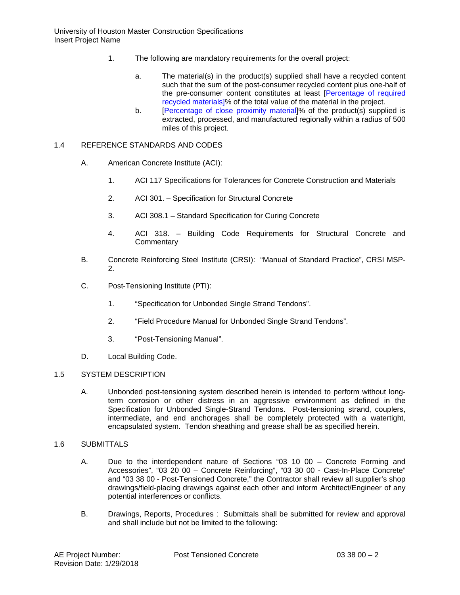- 1. The following are mandatory requirements for the overall project:
	- a. The material(s) in the product(s) supplied shall have a recycled content such that the sum of the post-consumer recycled content plus one-half of the pre-consumer content constitutes at least [Percentage of required recycled materials]% of the total value of the material in the project.
	- b. [Percentage of close proximity material]% of the product(s) supplied is extracted, processed, and manufactured regionally within a radius of 500 miles of this project.

### 1.4 REFERENCE STANDARDS AND CODES

- A. American Concrete Institute (ACI):
	- 1. ACI 117 Specifications for Tolerances for Concrete Construction and Materials
	- 2. ACI 301. Specification for Structural Concrete
	- 3. ACI 308.1 Standard Specification for Curing Concrete
	- 4. ACI 318. Building Code Requirements for Structural Concrete and **Commentary**
- B. Concrete Reinforcing Steel Institute (CRSI): "Manual of Standard Practice", CRSI MSP-2.
- C. Post-Tensioning Institute (PTI):
	- 1. "Specification for Unbonded Single Strand Tendons".
	- 2. "Field Procedure Manual for Unbonded Single Strand Tendons".
	- 3. "Post-Tensioning Manual".
- D. Local Building Code.

#### 1.5 SYSTEM DESCRIPTION

A. Unbonded post-tensioning system described herein is intended to perform without longterm corrosion or other distress in an aggressive environment as defined in the Specification for Unbonded Single-Strand Tendons. Post-tensioning strand, couplers, intermediate, and end anchorages shall be completely protected with a watertight, encapsulated system. Tendon sheathing and grease shall be as specified herein.

#### 1.6 SUBMITTALS

- A. Due to the interdependent nature of Sections "03 10 00 Concrete Forming and Accessories", "03 20 00 – Concrete Reinforcing", "03 30 00 - Cast-In-Place Concrete" and "03 38 00 - Post-Tensioned Concrete," the Contractor shall review all supplier's shop drawings/field-placing drawings against each other and inform Architect/Engineer of any potential interferences or conflicts.
- B. Drawings, Reports, Procedures : Submittals shall be submitted for review and approval and shall include but not be limited to the following: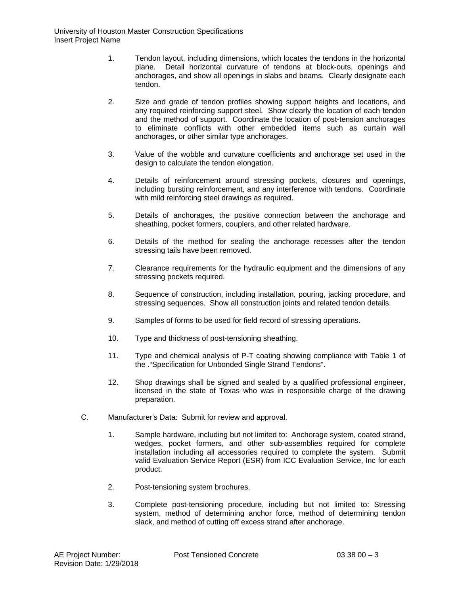- 1. Tendon layout, including dimensions, which locates the tendons in the horizontal plane. Detail horizontal curvature of tendons at block-outs, openings and anchorages, and show all openings in slabs and beams. Clearly designate each tendon.
- 2. Size and grade of tendon profiles showing support heights and locations, and any required reinforcing support steel. Show clearly the location of each tendon and the method of support. Coordinate the location of post-tension anchorages to eliminate conflicts with other embedded items such as curtain wall anchorages, or other similar type anchorages.
- 3. Value of the wobble and curvature coefficients and anchorage set used in the design to calculate the tendon elongation.
- 4. Details of reinforcement around stressing pockets, closures and openings, including bursting reinforcement, and any interference with tendons. Coordinate with mild reinforcing steel drawings as required.
- 5. Details of anchorages, the positive connection between the anchorage and sheathing, pocket formers, couplers, and other related hardware.
- 6. Details of the method for sealing the anchorage recesses after the tendon stressing tails have been removed.
- 7. Clearance requirements for the hydraulic equipment and the dimensions of any stressing pockets required.
- 8. Sequence of construction, including installation, pouring, jacking procedure, and stressing sequences. Show all construction joints and related tendon details.
- 9. Samples of forms to be used for field record of stressing operations.
- 10. Type and thickness of post-tensioning sheathing.
- 11. Type and chemical analysis of P-T coating showing compliance with Table 1 of the ."Specification for Unbonded Single Strand Tendons".
- 12. Shop drawings shall be signed and sealed by a qualified professional engineer, licensed in the state of Texas who was in responsible charge of the drawing preparation.
- C. Manufacturer's Data: Submit for review and approval.
	- 1. Sample hardware, including but not limited to: Anchorage system, coated strand, wedges, pocket formers, and other sub-assemblies required for complete installation including all accessories required to complete the system. Submit valid Evaluation Service Report (ESR) from ICC Evaluation Service, Inc for each product.
	- 2. Post-tensioning system brochures.
	- 3. Complete post-tensioning procedure, including but not limited to: Stressing system, method of determining anchor force, method of determining tendon slack, and method of cutting off excess strand after anchorage.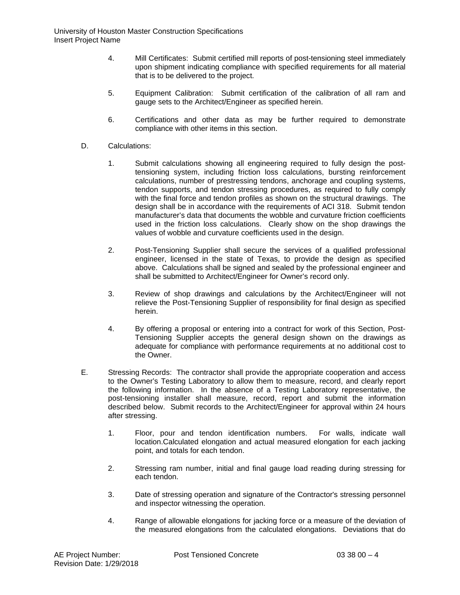- 4. Mill Certificates: Submit certified mill reports of post-tensioning steel immediately upon shipment indicating compliance with specified requirements for all material that is to be delivered to the project.
- 5. Equipment Calibration: Submit certification of the calibration of all ram and gauge sets to the Architect/Engineer as specified herein.
- 6. Certifications and other data as may be further required to demonstrate compliance with other items in this section.
- D. Calculations:
	- 1. Submit calculations showing all engineering required to fully design the posttensioning system, including friction loss calculations, bursting reinforcement calculations, number of prestressing tendons, anchorage and coupling systems, tendon supports, and tendon stressing procedures, as required to fully comply with the final force and tendon profiles as shown on the structural drawings. The design shall be in accordance with the requirements of ACI 318. Submit tendon manufacturer's data that documents the wobble and curvature friction coefficients used in the friction loss calculations. Clearly show on the shop drawings the values of wobble and curvature coefficients used in the design.
	- 2. Post-Tensioning Supplier shall secure the services of a qualified professional engineer, licensed in the state of Texas, to provide the design as specified above. Calculations shall be signed and sealed by the professional engineer and shall be submitted to Architect/Engineer for Owner's record only.
	- 3. Review of shop drawings and calculations by the Architect/Engineer will not relieve the Post-Tensioning Supplier of responsibility for final design as specified herein.
	- 4. By offering a proposal or entering into a contract for work of this Section, Post-Tensioning Supplier accepts the general design shown on the drawings as adequate for compliance with performance requirements at no additional cost to the Owner.
- E. Stressing Records: The contractor shall provide the appropriate cooperation and access to the Owner's Testing Laboratory to allow them to measure, record, and clearly report the following information. In the absence of a Testing Laboratory representative, the post-tensioning installer shall measure, record, report and submit the information described below. Submit records to the Architect/Engineer for approval within 24 hours after stressing.
	- 1. Floor, pour and tendon identification numbers. For walls, indicate wall location.Calculated elongation and actual measured elongation for each jacking point, and totals for each tendon.
	- 2. Stressing ram number, initial and final gauge load reading during stressing for each tendon.
	- 3. Date of stressing operation and signature of the Contractor's stressing personnel and inspector witnessing the operation.
	- 4. Range of allowable elongations for jacking force or a measure of the deviation of the measured elongations from the calculated elongations. Deviations that do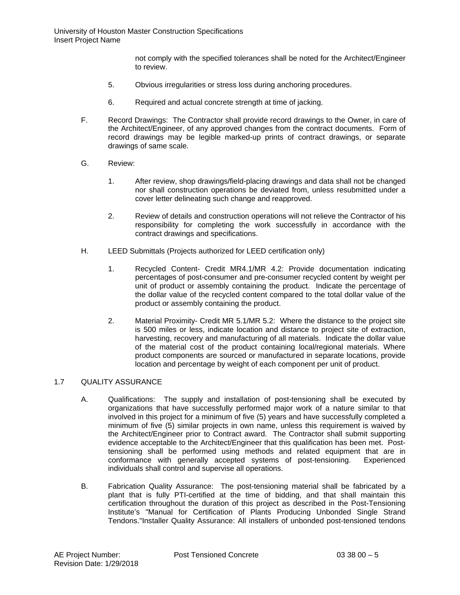not comply with the specified tolerances shall be noted for the Architect/Engineer to review.

- 5. Obvious irregularities or stress loss during anchoring procedures.
- 6. Required and actual concrete strength at time of jacking.
- F. Record Drawings: The Contractor shall provide record drawings to the Owner, in care of the Architect/Engineer, of any approved changes from the contract documents. Form of record drawings may be legible marked-up prints of contract drawings, or separate drawings of same scale.
- G. Review:
	- 1. After review, shop drawings/field-placing drawings and data shall not be changed nor shall construction operations be deviated from, unless resubmitted under a cover letter delineating such change and reapproved.
	- 2. Review of details and construction operations will not relieve the Contractor of his responsibility for completing the work successfully in accordance with the contract drawings and specifications.
- H. LEED Submittals (Projects authorized for LEED certification only)
	- 1. Recycled Content- Credit MR4.1/MR 4.2: Provide documentation indicating percentages of post-consumer and pre-consumer recycled content by weight per unit of product or assembly containing the product. Indicate the percentage of the dollar value of the recycled content compared to the total dollar value of the product or assembly containing the product.
	- 2. Material Proximity- Credit MR 5.1/MR 5.2: Where the distance to the project site is 500 miles or less, indicate location and distance to project site of extraction, harvesting, recovery and manufacturing of all materials. Indicate the dollar value of the material cost of the product containing local/regional materials. Where product components are sourced or manufactured in separate locations, provide location and percentage by weight of each component per unit of product.

#### 1.7 OUALITY ASSURANCE

- A. Qualifications: The supply and installation of post-tensioning shall be executed by organizations that have successfully performed major work of a nature similar to that involved in this project for a minimum of five (5) years and have successfully completed a minimum of five (5) similar projects in own name, unless this requirement is waived by the Architect/Engineer prior to Contract award. The Contractor shall submit supporting evidence acceptable to the Architect/Engineer that this qualification has been met. Posttensioning shall be performed using methods and related equipment that are in conformance with generally accepted systems of post-tensioning. Experienced individuals shall control and supervise all operations.
- B. Fabrication Quality Assurance: The post-tensioning material shall be fabricated by a plant that is fully PTI-certified at the time of bidding, and that shall maintain this certification throughout the duration of this project as described in the Post-Tensioning Institute's "Manual for Certification of Plants Producing Unbonded Single Strand Tendons."Installer Quality Assurance: All installers of unbonded post-tensioned tendons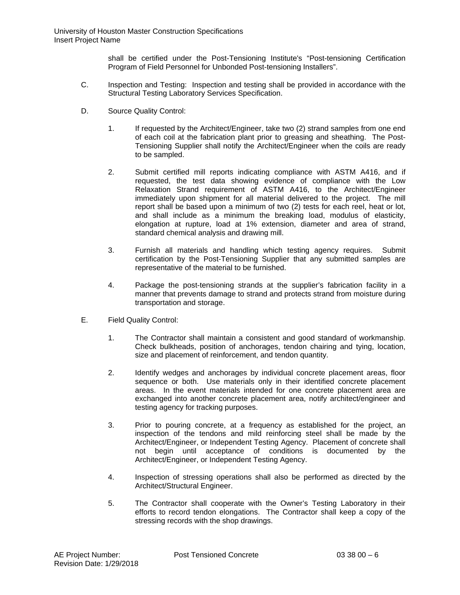shall be certified under the Post-Tensioning Institute's "Post-tensioning Certification Program of Field Personnel for Unbonded Post-tensioning Installers".

- C. Inspection and Testing: Inspection and testing shall be provided in accordance with the Structural Testing Laboratory Services Specification.
- D. Source Quality Control:
	- 1. If requested by the Architect/Engineer, take two (2) strand samples from one end of each coil at the fabrication plant prior to greasing and sheathing. The Post-Tensioning Supplier shall notify the Architect/Engineer when the coils are ready to be sampled.
	- 2. Submit certified mill reports indicating compliance with ASTM A416, and if requested, the test data showing evidence of compliance with the Low Relaxation Strand requirement of ASTM A416, to the Architect/Engineer immediately upon shipment for all material delivered to the project. The mill report shall be based upon a minimum of two (2) tests for each reel, heat or lot, and shall include as a minimum the breaking load, modulus of elasticity, elongation at rupture, load at 1% extension, diameter and area of strand, standard chemical analysis and drawing mill.
	- 3. Furnish all materials and handling which testing agency requires. Submit certification by the Post-Tensioning Supplier that any submitted samples are representative of the material to be furnished.
	- 4. Package the post-tensioning strands at the supplier's fabrication facility in a manner that prevents damage to strand and protects strand from moisture during transportation and storage.
- E. Field Quality Control:
	- 1. The Contractor shall maintain a consistent and good standard of workmanship. Check bulkheads, position of anchorages, tendon chairing and tying, location, size and placement of reinforcement, and tendon quantity.
	- 2. Identify wedges and anchorages by individual concrete placement areas, floor sequence or both. Use materials only in their identified concrete placement areas. In the event materials intended for one concrete placement area are exchanged into another concrete placement area, notify architect/engineer and testing agency for tracking purposes.
	- 3. Prior to pouring concrete, at a frequency as established for the project, an inspection of the tendons and mild reinforcing steel shall be made by the Architect/Engineer, or Independent Testing Agency. Placement of concrete shall not begin until acceptance of conditions is documented by the Architect/Engineer, or Independent Testing Agency.
	- 4. Inspection of stressing operations shall also be performed as directed by the Architect/Structural Engineer.
	- 5. The Contractor shall cooperate with the Owner's Testing Laboratory in their efforts to record tendon elongations. The Contractor shall keep a copy of the stressing records with the shop drawings.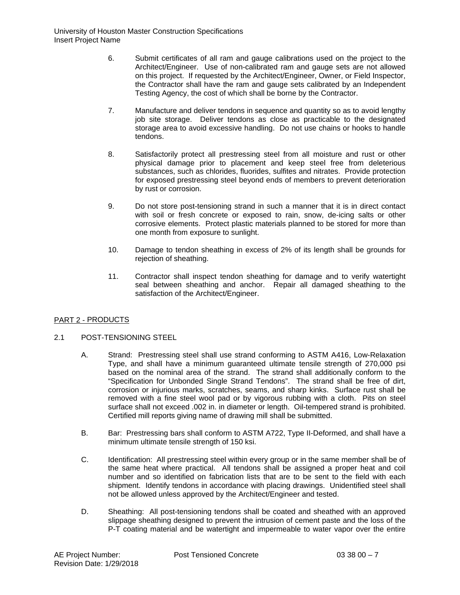- 6. Submit certificates of all ram and gauge calibrations used on the project to the Architect/Engineer. Use of non-calibrated ram and gauge sets are not allowed on this project. If requested by the Architect/Engineer, Owner, or Field Inspector, the Contractor shall have the ram and gauge sets calibrated by an Independent Testing Agency, the cost of which shall be borne by the Contractor.
- 7. Manufacture and deliver tendons in sequence and quantity so as to avoid lengthy job site storage. Deliver tendons as close as practicable to the designated storage area to avoid excessive handling. Do not use chains or hooks to handle tendons.
- 8. Satisfactorily protect all prestressing steel from all moisture and rust or other physical damage prior to placement and keep steel free from deleterious substances, such as chlorides, fluorides, sulfites and nitrates. Provide protection for exposed prestressing steel beyond ends of members to prevent deterioration by rust or corrosion.
- 9. Do not store post-tensioning strand in such a manner that it is in direct contact with soil or fresh concrete or exposed to rain, snow, de-icing salts or other corrosive elements. Protect plastic materials planned to be stored for more than one month from exposure to sunlight.
- 10. Damage to tendon sheathing in excess of 2% of its length shall be grounds for rejection of sheathing.
- 11. Contractor shall inspect tendon sheathing for damage and to verify watertight seal between sheathing and anchor. Repair all damaged sheathing to the satisfaction of the Architect/Engineer.

# PART 2 - PRODUCTS

# 2.1 POST-TENSIONING STEEL

- A. Strand: Prestressing steel shall use strand conforming to ASTM A416, Low-Relaxation Type, and shall have a minimum guaranteed ultimate tensile strength of 270,000 psi based on the nominal area of the strand. The strand shall additionally conform to the "Specification for Unbonded Single Strand Tendons". The strand shall be free of dirt, corrosion or injurious marks, scratches, seams, and sharp kinks. Surface rust shall be removed with a fine steel wool pad or by vigorous rubbing with a cloth. Pits on steel surface shall not exceed .002 in. in diameter or length. Oil-tempered strand is prohibited. Certified mill reports giving name of drawing mill shall be submitted.
- B. Bar: Prestressing bars shall conform to ASTM A722, Type II-Deformed, and shall have a minimum ultimate tensile strength of 150 ksi.
- C. Identification: All prestressing steel within every group or in the same member shall be of the same heat where practical. All tendons shall be assigned a proper heat and coil number and so identified on fabrication lists that are to be sent to the field with each shipment. Identify tendons in accordance with placing drawings. Unidentified steel shall not be allowed unless approved by the Architect/Engineer and tested.
- D. Sheathing: All post-tensioning tendons shall be coated and sheathed with an approved slippage sheathing designed to prevent the intrusion of cement paste and the loss of the P-T coating material and be watertight and impermeable to water vapor over the entire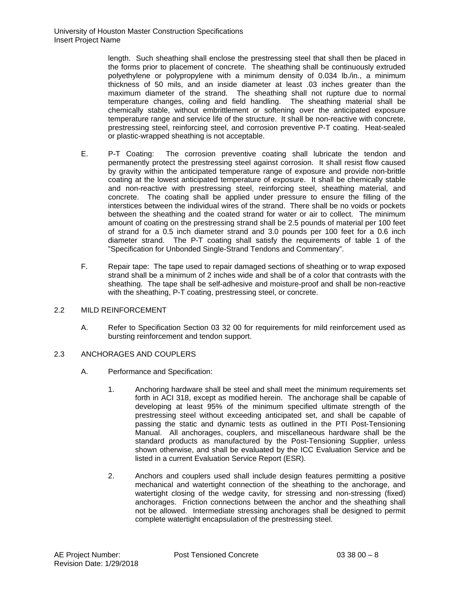length. Such sheathing shall enclose the prestressing steel that shall then be placed in the forms prior to placement of concrete. The sheathing shall be continuously extruded polyethylene or polypropylene with a minimum density of 0.034 lb./in., a minimum thickness of 50 mils, and an inside diameter at least .03 inches greater than the maximum diameter of the strand. The sheathing shall not rupture due to normal temperature changes, coiling and field handling. The sheathing material shall be chemically stable, without embrittlement or softening over the anticipated exposure temperature range and service life of the structure. It shall be non-reactive with concrete, prestressing steel, reinforcing steel, and corrosion preventive P-T coating. Heat-sealed or plastic-wrapped sheathing is not acceptable.

- E. P-T Coating: The corrosion preventive coating shall lubricate the tendon and permanently protect the prestressing steel against corrosion. It shall resist flow caused by gravity within the anticipated temperature range of exposure and provide non-brittle coating at the lowest anticipated temperature of exposure. It shall be chemically stable and non-reactive with prestressing steel, reinforcing steel, sheathing material, and concrete. The coating shall be applied under pressure to ensure the filling of the interstices between the individual wires of the strand. There shall be no voids or pockets between the sheathing and the coated strand for water or air to collect. The minimum amount of coating on the prestressing strand shall be 2.5 pounds of material per 100 feet of strand for a 0.5 inch diameter strand and 3.0 pounds per 100 feet for a 0.6 inch diameter strand. The P-T coating shall satisfy the requirements of table 1 of the "Specification for Unbonded Single-Strand Tendons and Commentary".
- F. Repair tape: The tape used to repair damaged sections of sheathing or to wrap exposed strand shall be a minimum of 2 inches wide and shall be of a color that contrasts with the sheathing. The tape shall be self-adhesive and moisture-proof and shall be non-reactive with the sheathing, P-T coating, prestressing steel, or concrete.

# 2.2 MILD REINFORCEMENT

A. Refer to Specification Section 03 32 00 for requirements for mild reinforcement used as bursting reinforcement and tendon support.

# 2.3 ANCHORAGES AND COUPLERS

- A. Performance and Specification:
	- 1. Anchoring hardware shall be steel and shall meet the minimum requirements set forth in ACI 318, except as modified herein. The anchorage shall be capable of developing at least 95% of the minimum specified ultimate strength of the prestressing steel without exceeding anticipated set, and shall be capable of passing the static and dynamic tests as outlined in the PTI Post-Tensioning Manual. All anchorages, couplers, and miscellaneous hardware shall be the standard products as manufactured by the Post-Tensioning Supplier, unless shown otherwise, and shall be evaluated by the ICC Evaluation Service and be listed in a current Evaluation Service Report (ESR).
	- 2. Anchors and couplers used shall include design features permitting a positive mechanical and watertight connection of the sheathing to the anchorage, and watertight closing of the wedge cavity, for stressing and non-stressing (fixed) anchorages. Friction connections between the anchor and the sheathing shall not be allowed. Intermediate stressing anchorages shall be designed to permit complete watertight encapsulation of the prestressing steel.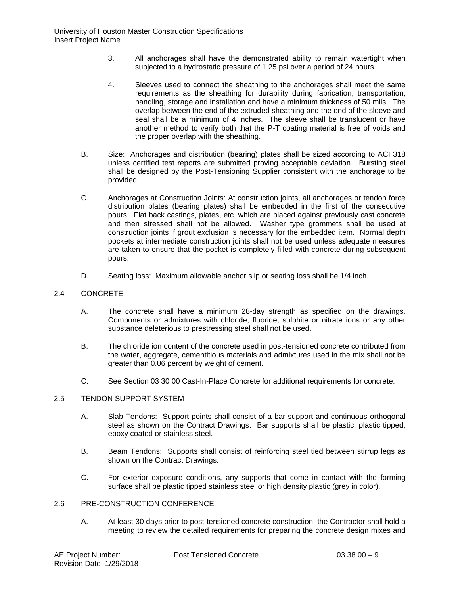- 3. All anchorages shall have the demonstrated ability to remain watertight when subjected to a hydrostatic pressure of 1.25 psi over a period of 24 hours.
- 4. Sleeves used to connect the sheathing to the anchorages shall meet the same requirements as the sheathing for durability during fabrication, transportation, handling, storage and installation and have a minimum thickness of 50 mils. The overlap between the end of the extruded sheathing and the end of the sleeve and seal shall be a minimum of 4 inches. The sleeve shall be translucent or have another method to verify both that the P-T coating material is free of voids and the proper overlap with the sheathing.
- B. Size: Anchorages and distribution (bearing) plates shall be sized according to ACI 318 unless certified test reports are submitted proving acceptable deviation. Bursting steel shall be designed by the Post-Tensioning Supplier consistent with the anchorage to be provided.
- C. Anchorages at Construction Joints: At construction joints, all anchorages or tendon force distribution plates (bearing plates) shall be embedded in the first of the consecutive pours. Flat back castings, plates, etc. which are placed against previously cast concrete and then stressed shall not be allowed. Washer type grommets shall be used at construction joints if grout exclusion is necessary for the embedded item. Normal depth pockets at intermediate construction joints shall not be used unless adequate measures are taken to ensure that the pocket is completely filled with concrete during subsequent pours.
- D. Seating loss: Maximum allowable anchor slip or seating loss shall be 1/4 inch.

#### 2.4 CONCRETE

- A. The concrete shall have a minimum 28-day strength as specified on the drawings. Components or admixtures with chloride, fluoride, sulphite or nitrate ions or any other substance deleterious to prestressing steel shall not be used.
- B. The chloride ion content of the concrete used in post-tensioned concrete contributed from the water, aggregate, cementitious materials and admixtures used in the mix shall not be greater than 0.06 percent by weight of cement.
- C. See Section 03 30 00 Cast-In-Place Concrete for additional requirements for concrete.

# 2.5 TENDON SUPPORT SYSTEM

- A. Slab Tendons: Support points shall consist of a bar support and continuous orthogonal steel as shown on the Contract Drawings. Bar supports shall be plastic, plastic tipped, epoxy coated or stainless steel.
- B. Beam Tendons: Supports shall consist of reinforcing steel tied between stirrup legs as shown on the Contract Drawings.
- C. For exterior exposure conditions, any supports that come in contact with the forming surface shall be plastic tipped stainless steel or high density plastic (grey in color).

# 2.6 PRE-CONSTRUCTION CONFERENCE

A. At least 30 days prior to post-tensioned concrete construction, the Contractor shall hold a meeting to review the detailed requirements for preparing the concrete design mixes and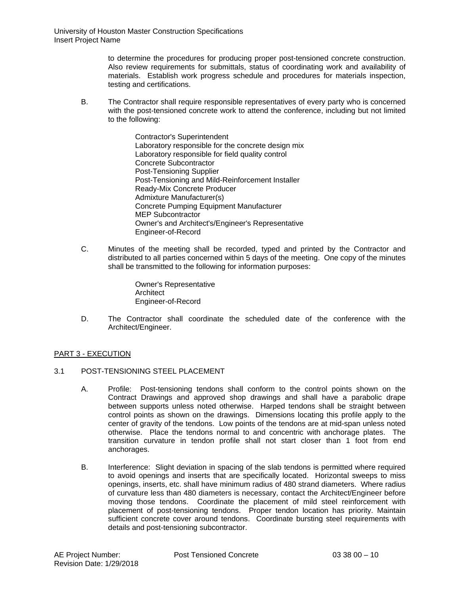to determine the procedures for producing proper post-tensioned concrete construction. Also review requirements for submittals, status of coordinating work and availability of materials. Establish work progress schedule and procedures for materials inspection, testing and certifications.

- B. The Contractor shall require responsible representatives of every party who is concerned with the post-tensioned concrete work to attend the conference, including but not limited to the following:
	- Contractor's Superintendent Laboratory responsible for the concrete design mix Laboratory responsible for field quality control Concrete Subcontractor Post-Tensioning Supplier Post-Tensioning and Mild-Reinforcement Installer Ready-Mix Concrete Producer Admixture Manufacturer(s) Concrete Pumping Equipment Manufacturer MEP Subcontractor Owner's and Architect's/Engineer's Representative Engineer-of-Record
- C. Minutes of the meeting shall be recorded, typed and printed by the Contractor and distributed to all parties concerned within 5 days of the meeting. One copy of the minutes shall be transmitted to the following for information purposes:

Owner's Representative **Architect** Engineer-of-Record

D. The Contractor shall coordinate the scheduled date of the conference with the Architect/Engineer.

# PART 3 - EXECUTION

- 3.1 POST-TENSIONING STEEL PLACEMENT
	- A. Profile: Post-tensioning tendons shall conform to the control points shown on the Contract Drawings and approved shop drawings and shall have a parabolic drape between supports unless noted otherwise. Harped tendons shall be straight between control points as shown on the drawings. Dimensions locating this profile apply to the center of gravity of the tendons. Low points of the tendons are at mid-span unless noted otherwise. Place the tendons normal to and concentric with anchorage plates. The transition curvature in tendon profile shall not start closer than 1 foot from end anchorages.
	- B. Interference: Slight deviation in spacing of the slab tendons is permitted where required to avoid openings and inserts that are specifically located. Horizontal sweeps to miss openings, inserts, etc. shall have minimum radius of 480 strand diameters. Where radius of curvature less than 480 diameters is necessary, contact the Architect/Engineer before moving those tendons. Coordinate the placement of mild steel reinforcement with placement of post-tensioning tendons. Proper tendon location has priority. Maintain sufficient concrete cover around tendons. Coordinate bursting steel requirements with details and post-tensioning subcontractor.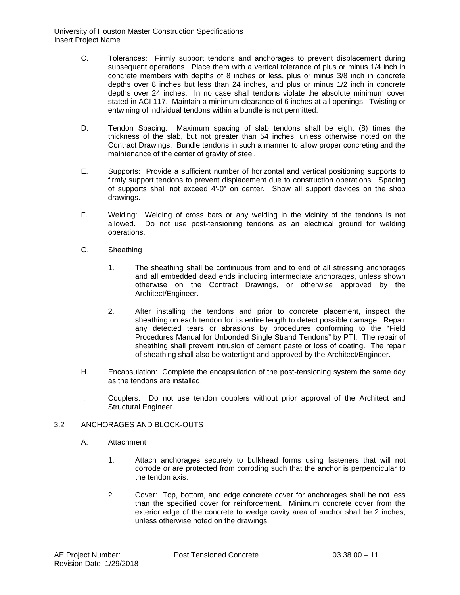- C. Tolerances: Firmly support tendons and anchorages to prevent displacement during subsequent operations. Place them with a vertical tolerance of plus or minus 1/4 inch in concrete members with depths of 8 inches or less, plus or minus 3/8 inch in concrete depths over 8 inches but less than 24 inches, and plus or minus 1/2 inch in concrete depths over 24 inches. In no case shall tendons violate the absolute minimum cover stated in ACI 117. Maintain a minimum clearance of 6 inches at all openings. Twisting or entwining of individual tendons within a bundle is not permitted.
- D. Tendon Spacing: Maximum spacing of slab tendons shall be eight (8) times the thickness of the slab, but not greater than 54 inches, unless otherwise noted on the Contract Drawings. Bundle tendons in such a manner to allow proper concreting and the maintenance of the center of gravity of steel.
- E. Supports: Provide a sufficient number of horizontal and vertical positioning supports to firmly support tendons to prevent displacement due to construction operations. Spacing of supports shall not exceed 4'-0" on center. Show all support devices on the shop drawings.
- F. Welding: Welding of cross bars or any welding in the vicinity of the tendons is not allowed. Do not use post-tensioning tendons as an electrical ground for welding operations.
- G. Sheathing
	- 1. The sheathing shall be continuous from end to end of all stressing anchorages and all embedded dead ends including intermediate anchorages, unless shown otherwise on the Contract Drawings, or otherwise approved by the Architect/Engineer.
	- 2. After installing the tendons and prior to concrete placement, inspect the sheathing on each tendon for its entire length to detect possible damage. Repair any detected tears or abrasions by procedures conforming to the "Field Procedures Manual for Unbonded Single Strand Tendons" by PTI. The repair of sheathing shall prevent intrusion of cement paste or loss of coating. The repair of sheathing shall also be watertight and approved by the Architect/Engineer.
- H. Encapsulation: Complete the encapsulation of the post-tensioning system the same day as the tendons are installed.
- I. Couplers: Do not use tendon couplers without prior approval of the Architect and Structural Engineer.

# 3.2 ANCHORAGES AND BLOCK-OUTS

- A. Attachment
	- 1. Attach anchorages securely to bulkhead forms using fasteners that will not corrode or are protected from corroding such that the anchor is perpendicular to the tendon axis.
	- 2. Cover: Top, bottom, and edge concrete cover for anchorages shall be not less than the specified cover for reinforcement. Minimum concrete cover from the exterior edge of the concrete to wedge cavity area of anchor shall be 2 inches, unless otherwise noted on the drawings.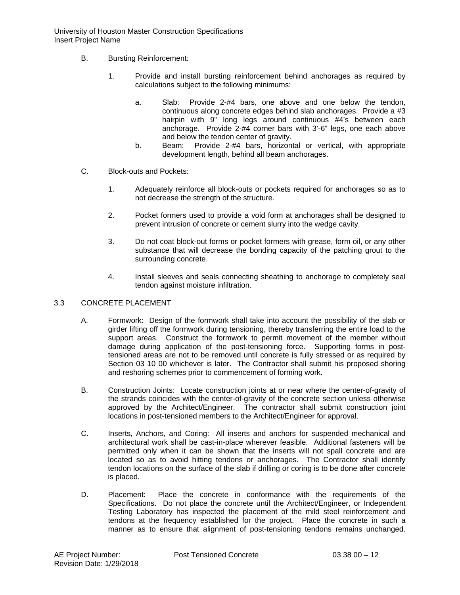University of Houston Master Construction Specifications Insert Project Name

- B. Bursting Reinforcement:
	- 1. Provide and install bursting reinforcement behind anchorages as required by calculations subject to the following minimums:
		- a. Slab: Provide 2-#4 bars, one above and one below the tendon, continuous along concrete edges behind slab anchorages. Provide a #3 hairpin with 9" long legs around continuous #4's between each anchorage. Provide 2-#4 corner bars with 3'-6" legs, one each above and below the tendon center of gravity.
		- b. Beam: Provide 2-#4 bars, horizontal or vertical, with appropriate development length, behind all beam anchorages.
- C. Block-outs and Pockets:
	- 1. Adequately reinforce all block-outs or pockets required for anchorages so as to not decrease the strength of the structure.
	- 2. Pocket formers used to provide a void form at anchorages shall be designed to prevent intrusion of concrete or cement slurry into the wedge cavity.
	- 3. Do not coat block-out forms or pocket formers with grease, form oil, or any other substance that will decrease the bonding capacity of the patching grout to the surrounding concrete.
	- 4. Install sleeves and seals connecting sheathing to anchorage to completely seal tendon against moisture infiltration.

#### 3.3 CONCRETE PLACEMENT

- A. Formwork: Design of the formwork shall take into account the possibility of the slab or girder lifting off the formwork during tensioning, thereby transferring the entire load to the support areas. Construct the formwork to permit movement of the member without damage during application of the post-tensioning force. Supporting forms in posttensioned areas are not to be removed until concrete is fully stressed or as required by Section 03 10 00 whichever is later. The Contractor shall submit his proposed shoring and reshoring schemes prior to commencement of forming work.
- B. Construction Joints: Locate construction joints at or near where the center-of-gravity of the strands coincides with the center-of-gravity of the concrete section unless otherwise approved by the Architect/Engineer. The contractor shall submit construction joint locations in post-tensioned members to the Architect/Engineer for approval.
- C. Inserts, Anchors, and Coring: All inserts and anchors for suspended mechanical and architectural work shall be cast-in-place wherever feasible. Additional fasteners will be permitted only when it can be shown that the inserts will not spall concrete and are located so as to avoid hitting tendons or anchorages. The Contractor shall identify tendon locations on the surface of the slab if drilling or coring is to be done after concrete is placed.
- D. Placement: Place the concrete in conformance with the requirements of the Specifications. Do not place the concrete until the Architect/Engineer, or Independent Testing Laboratory has inspected the placement of the mild steel reinforcement and tendons at the frequency established for the project. Place the concrete in such a manner as to ensure that alignment of post-tensioning tendons remains unchanged.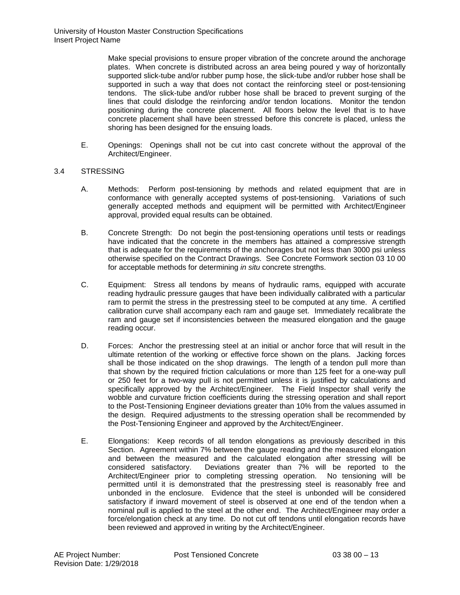Make special provisions to ensure proper vibration of the concrete around the anchorage plates. When concrete is distributed across an area being poured y way of horizontally supported slick-tube and/or rubber pump hose, the slick-tube and/or rubber hose shall be supported in such a way that does not contact the reinforcing steel or post-tensioning tendons. The slick-tube and/or rubber hose shall be braced to prevent surging of the lines that could dislodge the reinforcing and/or tendon locations. Monitor the tendon positioning during the concrete placement. All floors below the level that is to have concrete placement shall have been stressed before this concrete is placed, unless the shoring has been designed for the ensuing loads.

E. Openings: Openings shall not be cut into cast concrete without the approval of the Architect/Engineer.

# 3.4 STRESSING

- A. Methods: Perform post-tensioning by methods and related equipment that are in conformance with generally accepted systems of post-tensioning. Variations of such generally accepted methods and equipment will be permitted with Architect/Engineer approval, provided equal results can be obtained.
- B. Concrete Strength: Do not begin the post-tensioning operations until tests or readings have indicated that the concrete in the members has attained a compressive strength that is adequate for the requirements of the anchorages but not less than 3000 psi unless otherwise specified on the Contract Drawings. See Concrete Formwork section 03 10 00 for acceptable methods for determining *in situ* concrete strengths.
- C. Equipment: Stress all tendons by means of hydraulic rams, equipped with accurate reading hydraulic pressure gauges that have been individually calibrated with a particular ram to permit the stress in the prestressing steel to be computed at any time. A certified calibration curve shall accompany each ram and gauge set. Immediately recalibrate the ram and gauge set if inconsistencies between the measured elongation and the gauge reading occur.
- D. Forces: Anchor the prestressing steel at an initial or anchor force that will result in the ultimate retention of the working or effective force shown on the plans. Jacking forces shall be those indicated on the shop drawings. The length of a tendon pull more than that shown by the required friction calculations or more than 125 feet for a one-way pull or 250 feet for a two-way pull is not permitted unless it is justified by calculations and specifically approved by the Architect/Engineer. The Field Inspector shall verify the wobble and curvature friction coefficients during the stressing operation and shall report to the Post-Tensioning Engineer deviations greater than 10% from the values assumed in the design. Required adjustments to the stressing operation shall be recommended by the Post-Tensioning Engineer and approved by the Architect/Engineer.
- E. Elongations: Keep records of all tendon elongations as previously described in this Section. Agreement within 7% between the gauge reading and the measured elongation and between the measured and the calculated elongation after stressing will be considered satisfactory. Deviations greater than 7% will be reported to the Architect/Engineer prior to completing stressing operation. No tensioning will be permitted until it is demonstrated that the prestressing steel is reasonably free and unbonded in the enclosure. Evidence that the steel is unbonded will be considered satisfactory if inward movement of steel is observed at one end of the tendon when a nominal pull is applied to the steel at the other end. The Architect/Engineer may order a force/elongation check at any time. Do not cut off tendons until elongation records have been reviewed and approved in writing by the Architect/Engineer.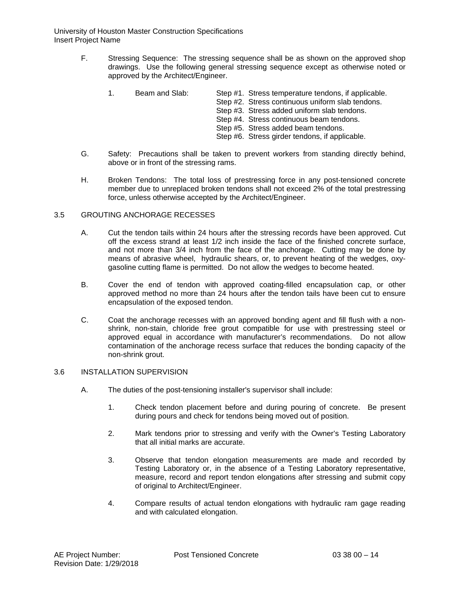University of Houston Master Construction Specifications Insert Project Name

- F. Stressing Sequence: The stressing sequence shall be as shown on the approved shop drawings. Use the following general stressing sequence except as otherwise noted or approved by the Architect/Engineer.
	- 1. Beam and Slab: Step #1. Stress temperature tendons, if applicable.
		- Step #2. Stress continuous uniform slab tendons.
		- Step #3. Stress added uniform slab tendons.
		- Step #4. Stress continuous beam tendons.
		- Step #5. Stress added beam tendons.
		- Step #6. Stress girder tendons, if applicable.
- G. Safety: Precautions shall be taken to prevent workers from standing directly behind, above or in front of the stressing rams.
- H. Broken Tendons: The total loss of prestressing force in any post-tensioned concrete member due to unreplaced broken tendons shall not exceed 2% of the total prestressing force, unless otherwise accepted by the Architect/Engineer.

#### 3.5 GROUTING ANCHORAGE RECESSES

- A. Cut the tendon tails within 24 hours after the stressing records have been approved. Cut off the excess strand at least 1/2 inch inside the face of the finished concrete surface, and not more than 3/4 inch from the face of the anchorage. Cutting may be done by means of abrasive wheel, hydraulic shears, or, to prevent heating of the wedges, oxygasoline cutting flame is permitted. Do not allow the wedges to become heated.
- B. Cover the end of tendon with approved coating-filled encapsulation cap, or other approved method no more than 24 hours after the tendon tails have been cut to ensure encapsulation of the exposed tendon.
- C. Coat the anchorage recesses with an approved bonding agent and fill flush with a nonshrink, non-stain, chloride free grout compatible for use with prestressing steel or approved equal in accordance with manufacturer's recommendations. Do not allow contamination of the anchorage recess surface that reduces the bonding capacity of the non-shrink grout.

### 3.6 INSTALLATION SUPERVISION

- A. The duties of the post-tensioning installer's supervisor shall include:
	- 1. Check tendon placement before and during pouring of concrete. Be present during pours and check for tendons being moved out of position.
	- 2. Mark tendons prior to stressing and verify with the Owner's Testing Laboratory that all initial marks are accurate.
	- 3. Observe that tendon elongation measurements are made and recorded by Testing Laboratory or, in the absence of a Testing Laboratory representative, measure, record and report tendon elongations after stressing and submit copy of original to Architect/Engineer.
	- 4. Compare results of actual tendon elongations with hydraulic ram gage reading and with calculated elongation.